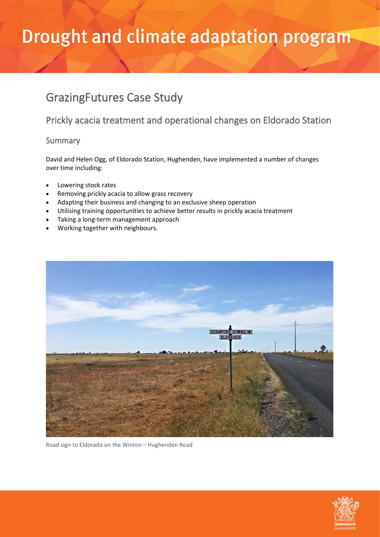### GrazingFutures Case Study

### Prickly acacia treatment and operational changes on Eldorado Station

#### Summary

David and Helen Ogg, of Eldorado Station, Hughenden, have implemented a number of changes over time including:

- Lowering stock rates
- Removing prickly acacia to allow grass recovery
- Adapting their business and changing to an exclusive sheep operation
- Utilising training opportunities to achieve better results in prickly acacia treatment
- Taking a long-term management approach
- Working together with neighbours.



Road sign to Eldorado on the Winton – Hughenden Road

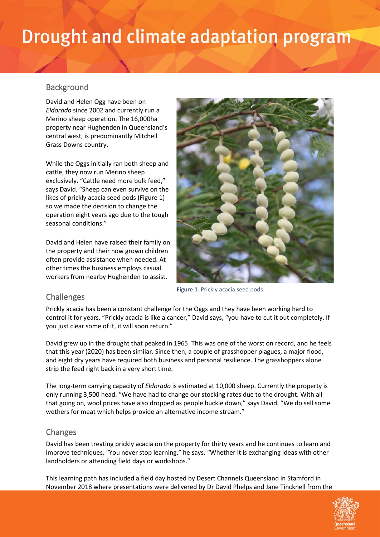#### **Background**

David and Helen Ogg have been on *Eldorado* since 2002 and currently run a Merino sheep operation. The 16,000ha property near Hughenden in Queensland's central west, is predominantly Mitchell Grass Downs country.

While the Oggs initially ran both sheep and cattle, they now run Merino sheep exclusively. "Cattle need more bulk feed," says David. "Sheep can even survive on the likes of prickly acacia seed pods (Figure 1) so we made the decision to change the operation eight years ago due to the tough seasonal conditions."

David and Helen have raised their family on the property and their now grown children often provide assistance when needed. At other times the business employs casual workers from nearby Hughenden to assist.



**Figure 1**. Prickly acacia seed pods

#### Challenges

Prickly acacia has been a constant challenge for the Oggs and they have been working hard to control it for years. "Prickly acacia is like a cancer," David says, "you have to cut it out completely. If you just clear some of it, it will soon return."

David grew up in the drought that peaked in 1965. This was one of the worst on record, and he feels that this year (2020) has been similar. Since then, a couple of grasshopper plagues, a major flood, and eight dry years have required both business and personal resilience. The grasshoppers alone strip the feed right back in a very short time.

The long-term carrying capacity of *Eldorado* is estimated at 10,000 sheep. Currently the property is only running 3,500 head. "We have had to change our stocking rates due to the drought. With all that going on, wool prices have also dropped as people buckle down," says David. "We do sell some wethers for meat which helps provide an alternative income stream."

#### Changes

David has been treating prickly acacia on the property for thirty years and he continues to learn and improve techniques. "You never stop learning," he says. "Whether it is exchanging ideas with other landholders or attending field days or workshops."

This learning path has included a field day hosted by Desert Channels Queensland in Stamford in November 2018 where presentations were delivered by Dr David Phelps and Jane Tincknell from the

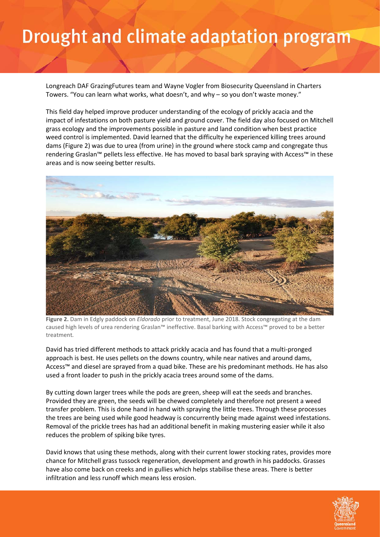Longreach DAF GrazingFutures team and Wayne Vogler from Biosecurity Queensland in Charters Towers. "You can learn what works, what doesn't, and why – so you don't waste money."

This field day helped improve producer understanding of the ecology of prickly acacia and the impact of infestations on both pasture yield and ground cover. The field day also focused on Mitchell grass ecology and the improvements possible in pasture and land condition when best practice weed control is implemented. David learned that the difficulty he experienced killing trees around dams (Figure 2) was due to urea (from urine) in the ground where stock camp and congregate thus rendering Graslan™ pellets less effective. He has moved to basal bark spraying with Access™ in these areas and is now seeing better results.



**Figure 2.** Dam in Edgly paddock on *Eldorado* prior to treatment, June 2018. Stock congregating at the dam caused high levels of urea rendering Graslan™ ineffective. Basal barking with Access™ proved to be a better treatment*.*

David has tried different methods to attack prickly acacia and has found that a multi-pronged approach is best. He uses pellets on the downs country, while near natives and around dams, Access™ and diesel are sprayed from a quad bike. These are his predominant methods. He has also used a front loader to push in the prickly acacia trees around some of the dams.

By cutting down larger trees while the pods are green, sheep will eat the seeds and branches. Provided they are green, the seeds will be chewed completely and therefore not present a weed transfer problem. This is done hand in hand with spraying the little trees. Through these processes the trees are being used while good headway is concurrently being made against weed infestations. Removal of the prickle trees has had an additional benefit in making mustering easier while it also reduces the problem of spiking bike tyres.

David knows that using these methods, along with their current lower stocking rates, provides more chance for Mitchell grass tussock regeneration, development and growth in his paddocks. Grasses have also come back on creeks and in gullies which helps stabilise these areas. There is better infiltration and less runoff which means less erosion.

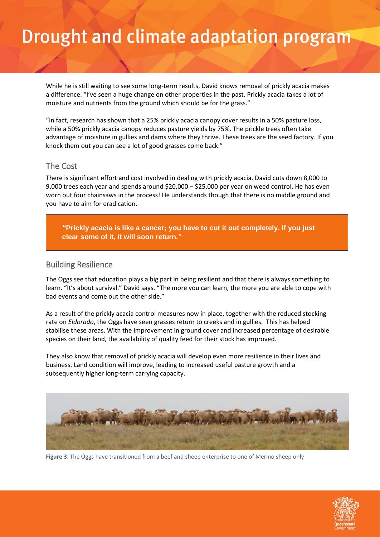While he is still waiting to see some long-term results, David knows removal of prickly acacia makes a difference. "I've seen a huge change on other properties in the past. Prickly acacia takes a lot of moisture and nutrients from the ground which should be for the grass."

"In fact, research has shown that a 25% prickly acacia canopy cover results in a 50% pasture loss, while a 50% prickly acacia canopy reduces pasture yields by 75%. The prickle trees often take advantage of moisture in gullies and dams where they thrive. These trees are the seed factory. If you knock them out you can see a lot of good grasses come back."

#### The Cost

There is significant effort and cost involved in dealing with prickly acacia. David cuts down 8,000 to 9,000 trees each year and spends around \$20,000 – \$25,000 per year on weed control. He has even worn out four chainsaws in the process! He understands though that there is no middle ground and you have to aim for eradication.

*"***Prickly acacia is like a cancer; you have to cut it out completely. If you just clear some of it, it will soon return."**

#### Building Resilience

The Oggs see that education plays a big part in being resilient and that there is always something to learn. "It's about survival." David says. "The more you can learn, the more you are able to cope with bad events and come out the other side."

As a result of the prickly acacia control measures now in place, together with the reduced stocking rate on *Eldorado*, the Oggs have seen grasses return to creeks and in gullies. This has helped stabilise these areas. With the improvement in ground cover and increased percentage of desirable species on their land, the availability of quality feed for their stock has improved.

They also know that removal of prickly acacia will develop even more resilience in their lives and business. Land condition will improve, leading to increased useful pasture growth and a subsequently higher long-term carrying capacity.



**Figure 3**. The Oggs have transitioned from a beef and sheep enterprise to one of Merino sheep only